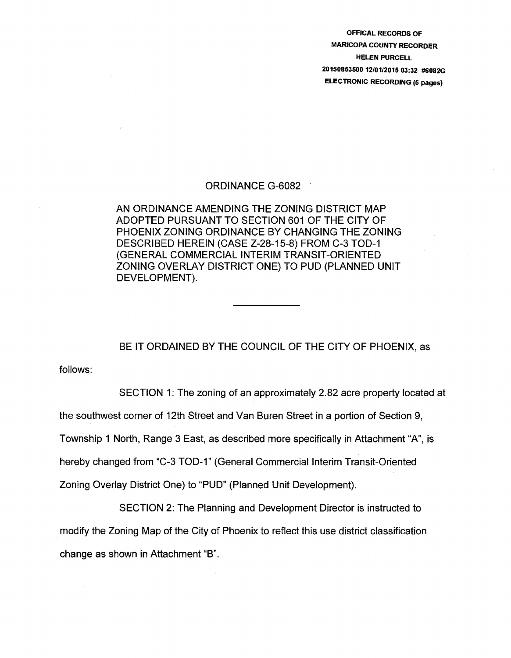OFFICAL RECORDS OF MARICOPA COUNTY RECORDER HELEN PURCELL 20150853500 12/01/2015 03:32 #6082G ELECTRONIC RECORDING (5 pages)

## ORDINANCE G-6082 .

AN ORDINANCE AMENDING THE ZONING DISTRICT MAP ADOPTED PURSUANT TO SECTION 601 OF THE CITY OF PHOENIX ZONING ORDINANCE BY CHANGING THE ZONING DESCRIBED HEREIN (CASE Z-28-15-8) FROM C-3 TOD-1 (GENERAL COMMERCIAL INTERIM TRANSIT-ORIENTED ZONING OVERLAY DISTRICT ONE) TO PUD (PLANNED UNIT DEVELOPMENT).

BE IT ORDAINED BY THE COUNCIL OF THE CITY OF PHOENIX, as

follows:

SECTION 1: The zoning of an approximately 2.82 acre property located at

the southwest corner of 12th Street and Van Buren Street in a portion of Section 9,

Township 1 North, Range 3 East, as described more specifically in Attachment "A", is

hereby changed from "C-3 TOD-1" (General Commercial Interim Transit-Oriented

Zoning Overlay District One) to "PUD" (Planned Unit Development).

SECTION 2: The Planning and Development Director is instructed to modify the Zoning Map of the City of Phoenix to reflect this use district classification change as shown in Attachment "B".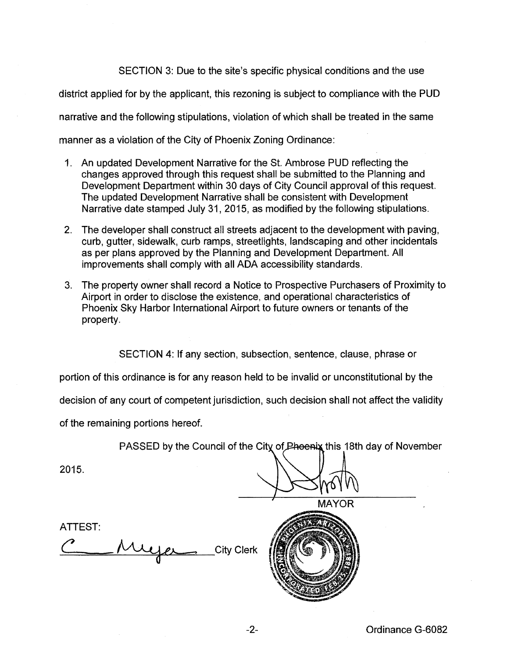SECTION 3: Due to the site's specific physical conditions and the use district applied for by the applicant, this rezoning is subject to compliance with the PUD narrative and the following stipulations, violation of which shall be treated in the same manner as a violation of the City of Phoenix Zoning Ordinance:

- 1. An updated Development Narrative for the St. Ambrose PUD reflecting the changes approved through this request shall be submitted to the Planning and Development Department within 30 days of City Council approval of this request. The updated Development Narrative shall be consistent with Development Narrative date stamped July 31, 2015, as modified by the following stipulations.
- 2. The developer shall construct all streets adjacent to the development with paving, curb, gutter, sidewalk, curb ramps, streetlights, landscaping and other incidentals as per plans approved by the Planning and Development Department. All improvements shall comply with all ADA accessibility standards.
- 3. The property owner shall record a Notice to Prospective Purchasers of Proximity to Airport in order to disclose the existence, and operational characteristics of Phoenix Sky Harbor International Airport to future owners or tenants of the property.

SECTION 4: If any section, subsection, sentence, clause, phrase or

portion of this ordinance is for any reason held to be invalid or unconstitutional by the

decision of any court of competent jurisdiction, such decision shall not affect the validity

of the remaining portions hereof.

PASSED by the Council of the City of Phoenix this 18th day of November

2015.

**MAYOR** 



ATTEST:

Muyer City Clerk

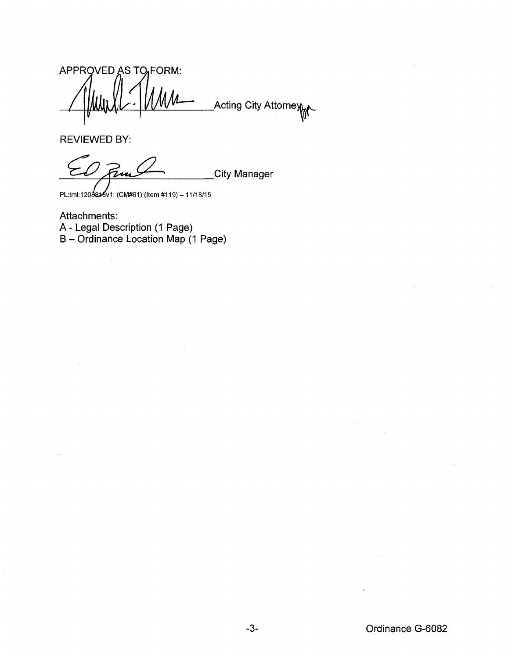APPROVED AS TO FORM: Acting City Attorney

REVIEWED BY:

**City Manager** 

PL:tml:1208816v1: (CM#61) (Item #119) - 11/18/15

Attachments: A- Legal Description (1 Page) B- Ordinance Location Map (1 Page)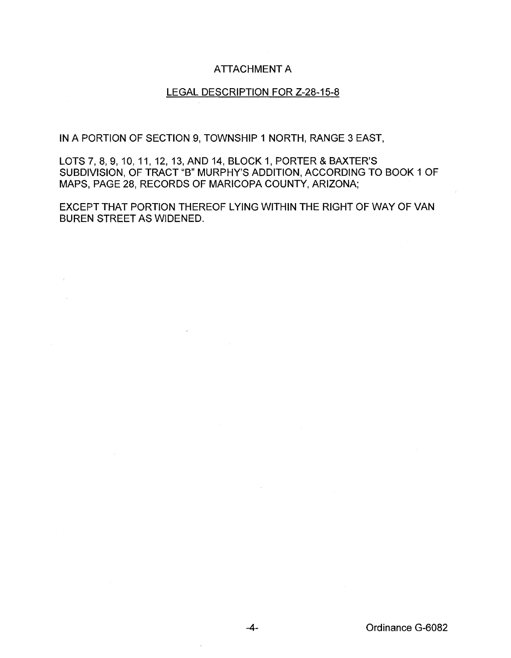## ATTACHMENT A

## LEGAL DESCRIPTION FOR Z-28-15-8

IN A PORTION OF SECTION 9, TOWNSHIP 1 NORTH, RANGE 3 EAST,

LOTS 7, 8, 9, 10, 11, 12, 13, AND 14, BLOCK 1, PORTER & BAXTER'S SUBDIVISION, OF TRACT "B" MURPHY'S ADDITION, ACCORDING TO BOOK 1 OF MAPS, PAGE 28, RECORDS OF MARICOPA COUNTY, ARIZONA;

EXCEPT THAT PORTION THEREOF LYING WITHIN THE RIGHT OF WAY OF VAN BUREN STREET AS WIDENED.